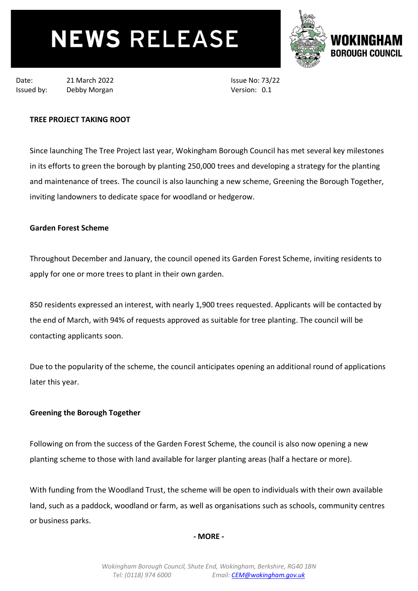# **NEWS RELEASE**



Date: 21 March 2022 Issued by: Debby Morgan

Issue No: 73/22 Version: 0.1

# **TREE PROJECT TAKING ROOT**

Since launching The Tree Project last year, Wokingham Borough Council has met several key milestones in its efforts to green the borough by planting 250,000 trees and developing a strategy for the planting and maintenance of trees. The council is also launching a new scheme, Greening the Borough Together, inviting landowners to dedicate space for woodland or hedgerow.

## **Garden Forest Scheme**

Throughout December and January, the council opened its Garden Forest Scheme, inviting residents to apply for one or more trees to plant in their own garden.

850 residents expressed an interest, with nearly 1,900 trees requested. Applicants will be contacted by the end of March, with 94% of requests approved as suitable for tree planting. The council will be contacting applicants soon.

Due to the popularity of the scheme, the council anticipates opening an additional round of applications later this year.

# **Greening the Borough Together**

Following on from the success of the Garden Forest Scheme, the council is also now opening a new planting scheme to those with land available for larger planting areas (half a hectare or more).

With funding from the Woodland Trust, the scheme will be open to individuals with their own available land, such as a paddock, woodland or farm, as well as organisations such as schools, community centres or business parks.

#### **- MORE -**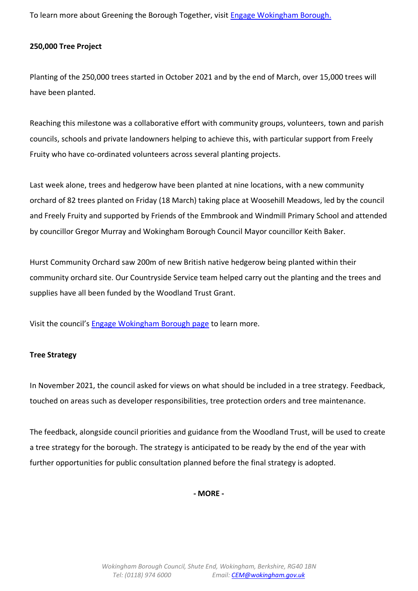To learn more about Greening the Borough Together, visit [Engage Wokingham Borough.](https://engage.wokingham.gov.uk/en-GB/projects/greening-the-borough-togeether)

## **250,000 Tree Project**

Planting of the 250,000 trees started in October 2021 and by the end of March, over 15,000 trees will have been planted.

Reaching this milestone was a collaborative effort with community groups, volunteers, town and parish councils, schools and private landowners helping to achieve this, with particular support from Freely Fruity who have co-ordinated volunteers across several planting projects.

Last week alone, trees and hedgerow have been planted at nine locations, with a new community orchard of 82 trees planted on Friday (18 March) taking place at Woosehill Meadows, led by the council and Freely Fruity and supported by Friends of the Emmbrook and Windmill Primary School and attended by councillor Gregor Murray and Wokingham Borough Council Mayor councillor Keith Baker.

Hurst Community Orchard saw 200m of new British native hedgerow being planted within their community orchard site. Our Countryside Service team helped carry out the planting and the trees and supplies have all been funded by the Woodland Trust Grant.

Visit the council's [Engage Wokingham Borough page](https://engage.wokingham.gov.uk/en-GB/folders/the-tree-project) to learn more.

#### **Tree Strategy**

In November 2021, the council asked for views on what should be included in a tree strategy. Feedback, touched on areas such as developer responsibilities, tree protection orders and tree maintenance.

The feedback, alongside council priorities and guidance from the Woodland Trust, will be used to create a tree strategy for the borough. The strategy is anticipated to be ready by the end of the year with further opportunities for public consultation planned before the final strategy is adopted.

**- MORE -**